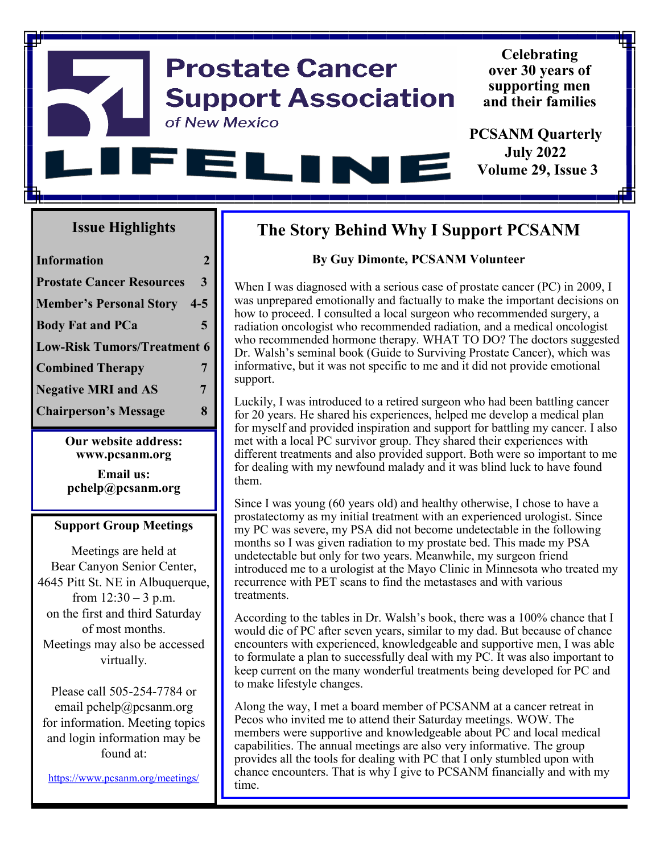#### **Celebrating Prostate Cancer over 30 years of supporting men Support Association and their families** of New Mexico **PCSANM Quarterly July 2022** EΙ **TAX Volume 29, Issue 3**

### **Issue Highlights**

| <b>Information</b>                 | $\mathcal{L}$ |  |
|------------------------------------|---------------|--|
| <b>Prostate Cancer Resources</b>   | 3             |  |
| <b>Member's Personal Story</b>     | $4 - 5$       |  |
| <b>Body Fat and PCa</b>            | 5             |  |
| <b>Low-Risk Tumors/Treatment 6</b> |               |  |
| <b>Combined Therapy</b>            | 7             |  |
| <b>Negative MRI and AS</b>         | 7             |  |
| <b>Chairperson's Message</b>       | 8             |  |

**Our website address: www.pcsanm.org**

**Email us: pchelp@pcsanm.org**

#### **Support Group Meetings**

Meetings are held at Bear Canyon Senior Center, 4645 Pitt St. NE in Albuquerque, from  $12:30 - 3$  p.m. on the first and third Saturday of most months. Meetings may also be accessed virtually.

Please call 505-254-7784 or email pchelp@pcsanm.org for information. Meeting topics and login information may be found at:

<https://www.pcsanm.org/meetings/>

### **The Story Behind Why I Support PCSANM**

### **By Guy Dimonte, PCSANM Volunteer**

When I was diagnosed with a serious case of prostate cancer (PC) in 2009, I was unprepared emotionally and factually to make the important decisions on how to proceed. I consulted a local surgeon who recommended surgery, a radiation oncologist who recommended radiation, and a medical oncologist who recommended hormone therapy. WHAT TO DO? The doctors suggested Dr. Walsh's seminal book (Guide to Surviving Prostate Cancer), which was informative, but it was not specific to me and it did not provide emotional support.

Luckily, I was introduced to a retired surgeon who had been battling cancer for 20 years. He shared his experiences, helped me develop a medical plan for myself and provided inspiration and support for battling my cancer. I also met with a local PC survivor group. They shared their experiences with different treatments and also provided support. Both were so important to me for dealing with my newfound malady and it was blind luck to have found them.

Since I was young (60 years old) and healthy otherwise, I chose to have a prostatectomy as my initial treatment with an experienced urologist. Since my PC was severe, my PSA did not become undetectable in the following months so I was given radiation to my prostate bed. This made my PSA undetectable but only for two years. Meanwhile, my surgeon friend introduced me to a urologist at the Mayo Clinic in Minnesota who treated my recurrence with PET scans to find the metastases and with various treatments.

According to the tables in Dr. Walsh's book, there was a 100% chance that I would die of PC after seven years, similar to my dad. But because of chance encounters with experienced, knowledgeable and supportive men, I was able to formulate a plan to successfully deal with my PC. It was also important to keep current on the many wonderful treatments being developed for PC and to make lifestyle changes.

Along the way, I met a board member of PCSANM at a cancer retreat in Pecos who invited me to attend their Saturday meetings. WOW. The members were supportive and knowledgeable about PC and local medical capabilities. The annual meetings are also very informative. The group provides all the tools for dealing with PC that I only stumbled upon with chance encounters. That is why I give to PCSANM financially and with my time.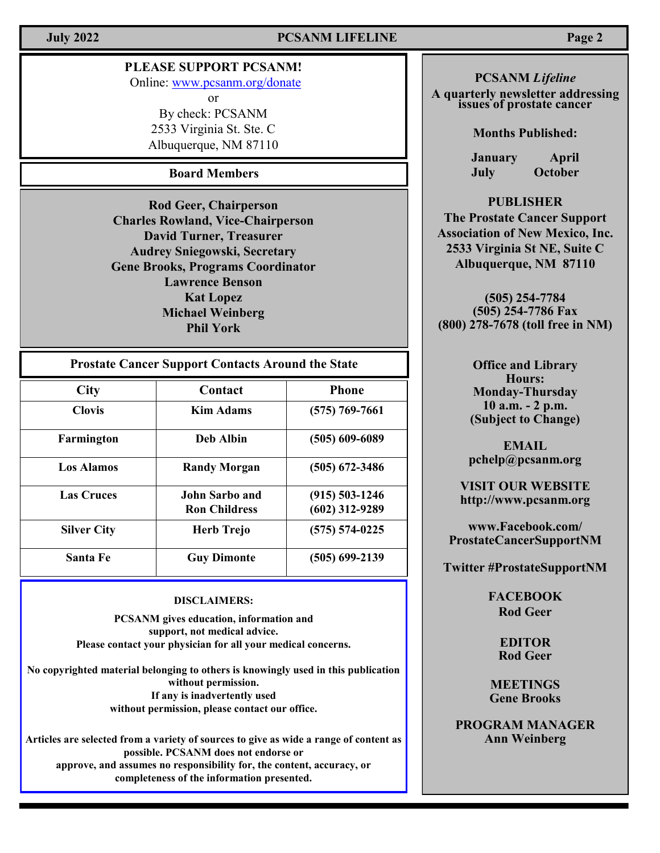### **July 2022 PCSANM LIFELINE Page 2**

### **PLEASE SUPPORT PCSANM!**

Online: [www.pcsanm.org/donate](https://www.pcsanm.org/donate/)

or

By check: PCSANM 2533 Virginia St. Ste. C Albuquerque, NM 87110

### **Board Members**

**Rod Geer, Chairperson Charles Rowland, Vice-Chairperson David Turner, Treasurer Audrey Sniegowski, Secretary Gene Brooks, Programs Coordinator Lawrence Benson Kat Lopez Michael Weinberg Phil York**

| <b>Prostate Cancer Support Contacts Around the State</b> |                                               |                                        |
|----------------------------------------------------------|-----------------------------------------------|----------------------------------------|
| <b>City</b>                                              | Contact                                       | <b>Phone</b>                           |
| <b>Clovis</b>                                            | <b>Kim Adams</b>                              | $(575) 769 - 7661$                     |
| Farmington                                               | <b>Deb Albin</b>                              | $(505)$ 609-6089                       |
| <b>Los Alamos</b>                                        | <b>Randy Morgan</b>                           | $(505)$ 672-3486                       |
| <b>Las Cruces</b>                                        | <b>John Sarbo and</b><br><b>Ron Childress</b> | $(915) 503 - 1246$<br>$(602)$ 312-9289 |
| <b>Silver City</b>                                       | <b>Herb Trejo</b>                             | $(575) 574 - 0225$                     |
| Santa Fe                                                 | <b>Guy Dimonte</b>                            | $(505)$ 699-2139                       |

#### **DISCLAIMERS:**

**PCSANM gives education, information and support, not medical advice. Please contact your physician for all your medical concerns.** 

**No copyrighted material belonging to others is knowingly used in this publication without permission. If any is inadvertently used without permission, please contact our office.**

**Articles are selected from a variety of sources to give as wide a range of content as possible. PCSANM does not endorse or approve, and assumes no responsibility for, the content, accuracy, or completeness of the information presented.**

#### **PCSANM** *Lifeline*

**A quarterly newsletter addressing issues of prostate cancer**

**Months Published:**

**January April July October**

#### **PUBLISHER**

**The Prostate Cancer Support Association of New Mexico, Inc. 2533 Virginia St NE, Suite C Albuquerque, NM 87110**

**(505) 254-7784 (505) 254-7786 Fax (800) 278-7678 (toll free in NM)**

> **Office and Library Hours: Monday-Thursday 10 a.m. - 2 p.m. (Subject to Change)**

**EMAIL pchelp@pcsanm.org**

**VISIT OUR WEBSITE http://www.pcsanm.org**

**www.Facebook.com/ ProstateCancerSupportNM** 

**Twitter #ProstateSupportNM** 

**FACEBOOK Rod Geer**

> **EDITOR Rod Geer**

**MEETINGS Gene Brooks**

**PROGRAM MANAGER Ann Weinberg**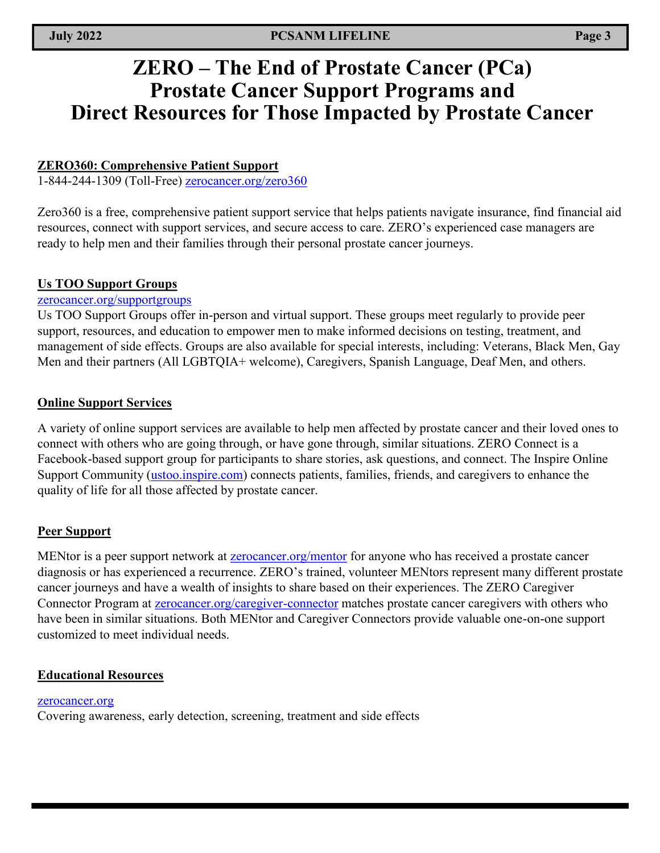## **ZERO – The End of Prostate Cancer (PCa) Prostate Cancer Support Programs and Direct Resources for Those Impacted by Prostate Cancer**

### **ZERO360: Comprehensive Patient Support**

1-844-244-1309 (Toll-Free)<zerocancer.org/zero360>

Zero360 is a free, comprehensive patient support service that helps patients navigate insurance, find financial aid resources, connect with support services, and secure access to care. ZERO's experienced case managers are ready to help men and their families through their personal prostate cancer journeys.

#### **Us TOO Support Groups**

#### <zerocancer.org/supportgroups>

Us TOO Support Groups offer in-person and virtual support. These groups meet regularly to provide peer support, resources, and education to empower men to make informed decisions on testing, treatment, and management of side effects. Groups are also available for special interests, including: Veterans, Black Men, Gay Men and their partners (All LGBTQIA+ welcome), Caregivers, Spanish Language, Deaf Men, and others.

#### **Online Support Services**

A variety of online support services are available to help men affected by prostate cancer and their loved ones to connect with others who are going through, or have gone through, similar situations. ZERO Connect is a Facebook-based support group for participants to share stories, ask questions, and connect. The Inspire Online Support Community [\(ustoo.inspire.com\)](ustoo.inspire.com) connects patients, families, friends, and caregivers to enhance the quality of life for all those affected by prostate cancer.

#### **Peer Support**

MENtor is a peer support network at **<zerocancer.org/mentor>** for anyone who has received a prostate cancer diagnosis or has experienced a recurrence. ZERO's trained, volunteer MENtors represent many different prostate cancer journeys and have a wealth of insights to share based on their experiences. The ZERO Caregiver Connector Program at **[zerocancer.org/caregiver](zerocancer.org/caregiver-connector)-connector** matches prostate cancer caregivers with others who have been in similar situations. Both MENtor and Caregiver Connectors provide valuable one-on-one support customized to meet individual needs.

#### **Educational Resources**

#### <zerocancer.org>

Covering awareness, early detection, screening, treatment and side effects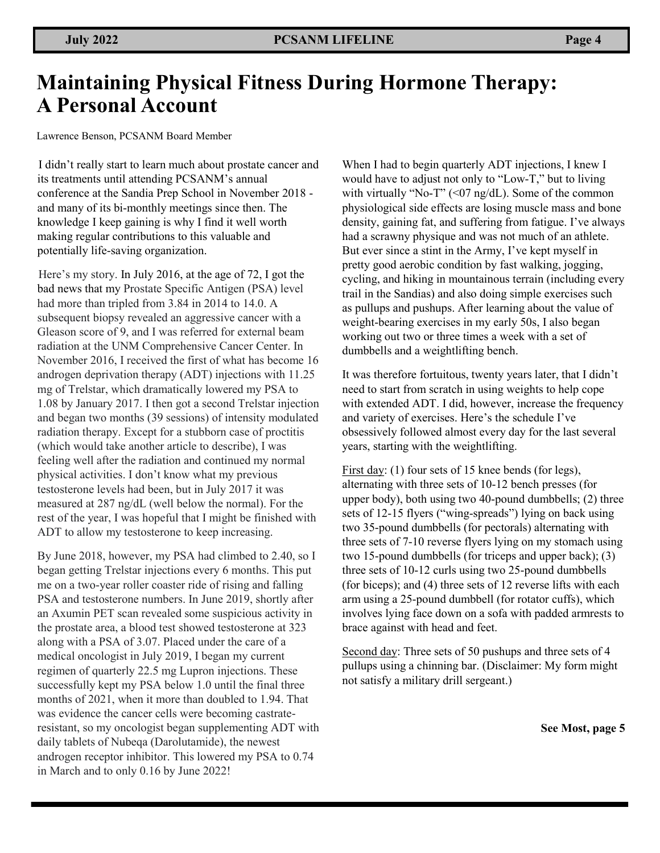# **Maintaining Physical Fitness During Hormone Therapy: A Personal Account**

Lawrence Benson, PCSANM Board Member

I didn't really start to learn much about prostate cancer and its treatments until attending PCSANM's annual conference at the Sandia Prep School in November 2018 and many of its bi-monthly meetings since then. The knowledge I keep gaining is why I find it well worth making regular contributions to this valuable and potentially life-saving organization.

Here's my story. In July 2016, at the age of 72, I got the bad news that my Prostate Specific Antigen (PSA) level had more than tripled from 3.84 in 2014 to 14.0. A subsequent biopsy revealed an aggressive cancer with a Gleason score of 9, and I was referred for external beam radiation at the UNM Comprehensive Cancer Center. In November 2016, I received the first of what has become 16 androgen deprivation therapy (ADT) injections with 11.25 mg of Trelstar, which dramatically lowered my PSA to 1.08 by January 2017. I then got a second Trelstar injection and began two months (39 sessions) of intensity modulated radiation therapy. Except for a stubborn case of proctitis (which would take another article to describe), I was feeling well after the radiation and continued my normal physical activities. I don't know what my previous testosterone levels had been, but in July 2017 it was measured at 287 ng/dL (well below the normal). For the rest of the year, I was hopeful that I might be finished with ADT to allow my testosterone to keep increasing.

By June 2018, however, my PSA had climbed to 2.40, so I began getting Trelstar injections every 6 months. This put me on a two-year roller coaster ride of rising and falling PSA and testosterone numbers. In June 2019, shortly after an Axumin PET scan revealed some suspicious activity in the prostate area, a blood test showed testosterone at 323 along with a PSA of 3.07. Placed under the care of a medical oncologist in July 2019, I began my current regimen of quarterly 22.5 mg Lupron injections. These successfully kept my PSA below 1.0 until the final three months of 2021, when it more than doubled to 1.94. That was evidence the cancer cells were becoming castrateresistant, so my oncologist began supplementing ADT with daily tablets of Nubeqa (Darolutamide), the newest androgen receptor inhibitor. This lowered my PSA to 0.74 in March and to only 0.16 by June 2022!

When I had to begin quarterly ADT injections, I knew I would have to adjust not only to "Low-T," but to living with virtually "No-T" ( $\leq 07$  ng/dL). Some of the common physiological side effects are losing muscle mass and bone density, gaining fat, and suffering from fatigue. I've always had a scrawny physique and was not much of an athlete. But ever since a stint in the Army, I've kept myself in pretty good aerobic condition by fast walking, jogging, cycling, and hiking in mountainous terrain (including every trail in the Sandias) and also doing simple exercises such as pullups and pushups. After learning about the value of weight-bearing exercises in my early 50s, I also began working out two or three times a week with a set of dumbbells and a weightlifting bench.

It was therefore fortuitous, twenty years later, that I didn't need to start from scratch in using weights to help cope with extended ADT. I did, however, increase the frequency and variety of exercises. Here's the schedule I've obsessively followed almost every day for the last several years, starting with the weightlifting.

First day: (1) four sets of 15 knee bends (for legs), alternating with three sets of 10-12 bench presses (for upper body), both using two 40-pound dumbbells; (2) three sets of 12-15 flyers ("wing-spreads") lying on back using two 35-pound dumbbells (for pectorals) alternating with three sets of 7-10 reverse flyers lying on my stomach using two 15-pound dumbbells (for triceps and upper back); (3) three sets of 10-12 curls using two 25-pound dumbbells (for biceps); and (4) three sets of 12 reverse lifts with each arm using a 25-pound dumbbell (for rotator cuffs), which involves lying face down on a sofa with padded armrests to brace against with head and feet.

Second day: Three sets of 50 pushups and three sets of 4 pullups using a chinning bar. (Disclaimer: My form might not satisfy a military drill sergeant.)

**See Most, page 5**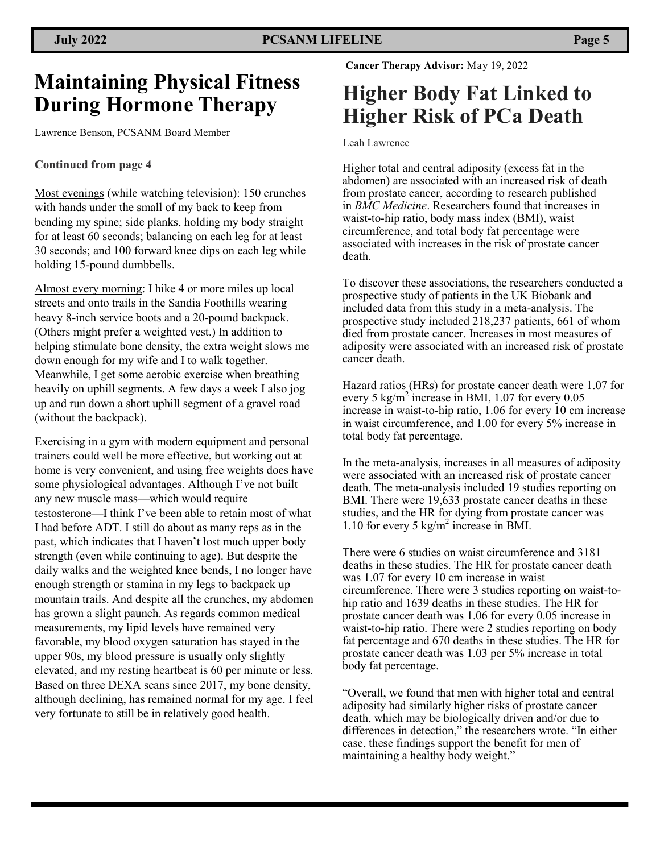## **Maintaining Physical Fitness During Hormone Therapy**

Lawrence Benson, PCSANM Board Member

#### **Continued from page 4**

Most evenings (while watching television): 150 crunches with hands under the small of my back to keep from bending my spine; side planks, holding my body straight for at least 60 seconds; balancing on each leg for at least 30 seconds; and 100 forward knee dips on each leg while holding 15-pound dumbbells.

Almost every morning: I hike 4 or more miles up local streets and onto trails in the Sandia Foothills wearing heavy 8-inch service boots and a 20-pound backpack. (Others might prefer a weighted vest.) In addition to helping stimulate bone density, the extra weight slows me down enough for my wife and I to walk together. Meanwhile, I get some aerobic exercise when breathing heavily on uphill segments. A few days a week I also jog up and run down a short uphill segment of a gravel road (without the backpack).

Exercising in a gym with modern equipment and personal trainers could well be more effective, but working out at home is very convenient, and using free weights does have some physiological advantages. Although I've not built any new muscle mass—which would require testosterone—I think I've been able to retain most of what I had before ADT. I still do about as many reps as in the past, which indicates that I haven't lost much upper body strength (even while continuing to age). But despite the daily walks and the weighted knee bends, I no longer have enough strength or stamina in my legs to backpack up mountain trails. And despite all the crunches, my abdomen has grown a slight paunch. As regards common medical measurements, my lipid levels have remained very favorable, my blood oxygen saturation has stayed in the upper 90s, my blood pressure is usually only slightly elevated, and my resting heartbeat is 60 per minute or less. Based on three DEXA scans since 2017, my bone density, although declining, has remained normal for my age. I feel very fortunate to still be in relatively good health.

**Cancer Therapy Advisor:** May 19, 2022

# **Higher Body Fat Linked to Higher Risk of PCa Death**

Leah Lawrence

Higher total and central adiposity (excess fat in the abdomen) are associated with an increased risk of death from prostate cancer, according to research published in *BMC Medicine*. Researchers found that increases in waist-to-hip ratio, body mass index (BMI), waist circumference, and total body fat percentage were associated with increases in the risk of prostate cancer death.

To discover these associations, the researchers conducted a prospective study of patients in the UK Biobank and included data from this study in a meta-analysis. The prospective study included 218,237 patients, 661 of whom died from prostate cancer. Increases in most measures of adiposity were associated with an increased risk of prostate cancer death.

Hazard ratios (HRs) for prostate cancer death were 1.07 for every 5 kg/m<sup>2</sup> increase in BMI, 1.07 for every 0.05 increase in waist-to-hip ratio, 1.06 for every 10 cm increase in waist circumference, and 1.00 for every 5% increase in total body fat percentage.

In the meta-analysis, increases in all measures of adiposity were associated with an increased risk of prostate cancer death. The meta-analysis included 19 studies reporting on BMI. There were 19,633 prostate cancer deaths in these studies, and the HR for dying from prostate cancer was 1.10 for every 5  $\text{kg/m}^2$  increase in BMI.

There were 6 studies on waist circumference and 3181 deaths in these studies. The HR for prostate cancer death was 1.07 for every 10 cm increase in waist circumference. There were 3 studies reporting on waist-tohip ratio and 1639 deaths in these studies. The HR for prostate cancer death was 1.06 for every 0.05 increase in waist-to-hip ratio. There were 2 studies reporting on body fat percentage and 670 deaths in these studies. The HR for prostate cancer death was 1.03 per 5% increase in total body fat percentage.

"Overall, we found that men with higher total and central adiposity had similarly higher risks of prostate cancer death, which may be biologically driven and/or due to differences in detection," the researchers wrote. "In either case, these findings support the benefit for men of maintaining a healthy body weight."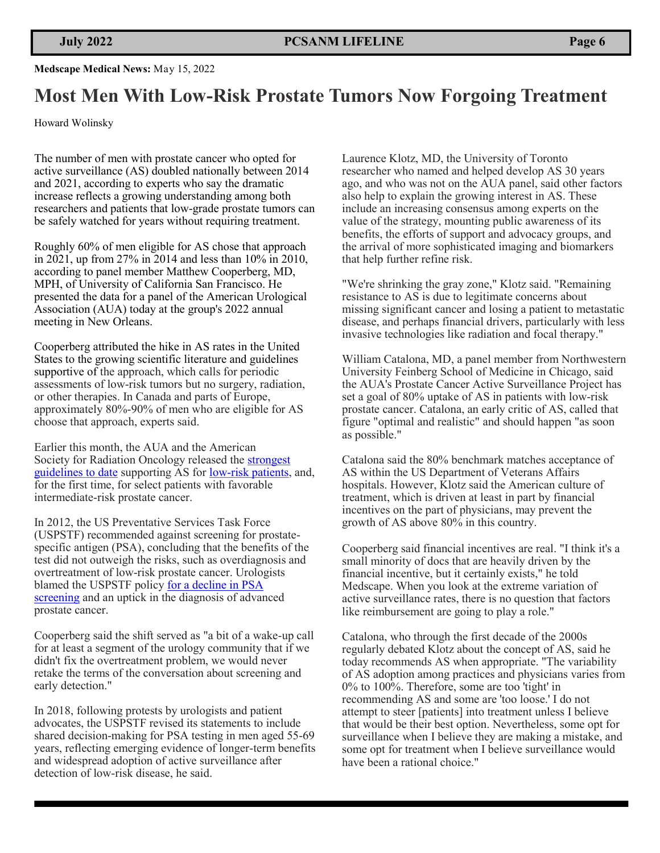#### **Medscape Medical News:** May 15, 2022

## **Most Men With Low-Risk Prostate Tumors Now Forgoing Treatment**

Howard Wolinsky

The number of men with prostate cancer who opted for active surveillance (AS) doubled nationally between 2014 and 2021, according to experts who say the dramatic increase reflects a growing understanding among both researchers and patients that low-grade prostate tumors can be safely watched for years without requiring treatment.

Roughly 60% of men eligible for AS chose that approach in 2021, up from 27% in 2014 and less than 10% in 2010, according to panel member Matthew Cooperberg, MD, MPH, of University of California San Francisco. He presented the data for a panel of the American Urological Association (AUA) today at the group's 2022 annual meeting in New Orleans.

Cooperberg attributed the hike in AS rates in the United States to the growing scientific literature and guidelines supportive of the approach, which calls for periodic assessments of low-risk tumors but no surgery, radiation, or other therapies. In Canada and parts of Europe, approximately 80%-90% of men who are eligible for AS choose that approach, experts said.

Earlier this month, the AUA and the American Society for Radiation Oncology released the [strongest](https://www.medscape.com/viewarticle/973714)  [guidelines to date](https://www.medscape.com/viewarticle/973714) supporting AS for low-[risk patients,](https://www.medscape.com/viewarticle/972337) and, for the first time, for select patients with favorable intermediate-risk prostate cancer.

In 2012, the US Preventative Services Task Force (USPSTF) recommended against screening for prostatespecific antigen (PSA), concluding that the benefits of the test did not outweigh the risks, such as overdiagnosis and overtreatment of low-risk prostate cancer. Urologists blamed the USPSTF policy [for a decline in PSA](https://academic.oup.com/jnci/advance-article-abstract/doi/10.1093/jnci/djac066/6555003?redirectedFrom=fulltext)  [screening](https://academic.oup.com/jnci/advance-article-abstract/doi/10.1093/jnci/djac066/6555003?redirectedFrom=fulltext) and an uptick in the diagnosis of advanced prostate cancer.

Cooperberg said the shift served as "a bit of a wake-up call for at least a segment of the urology community that if we didn't fix the overtreatment problem, we would never retake the terms of the conversation about screening and early detection."

In 2018, following protests by urologists and patient advocates, the USPSTF revised its statements to include shared decision-making for PSA testing in men aged 55-69 years, reflecting emerging evidence of longer-term benefits and widespread adoption of active surveillance after detection of low-risk disease, he said.

Laurence Klotz, MD, the University of Toronto researcher who named and helped develop AS 30 years ago, and who was not on the AUA panel, said other factors also help to explain the growing interest in AS. These include an increasing consensus among experts on the value of the strategy, mounting public awareness of its benefits, the efforts of support and advocacy groups, and the arrival of more sophisticated imaging and biomarkers that help further refine risk.

"We're shrinking the gray zone," Klotz said. "Remaining resistance to AS is due to legitimate concerns about missing significant cancer and losing a patient to metastatic disease, and perhaps financial drivers, particularly with less invasive technologies like radiation and focal therapy."

William Catalona, MD, a panel member from Northwestern University Feinberg School of Medicine in Chicago, said the AUA's Prostate Cancer Active Surveillance Project has set a goal of 80% uptake of AS in patients with low-risk prostate cancer. Catalona, an early critic of AS, called that figure "optimal and realistic" and should happen "as soon as possible."

Catalona said the 80% benchmark matches acceptance of AS within the US Department of Veterans Affairs hospitals. However, Klotz said the American culture of treatment, which is driven at least in part by financial incentives on the part of physicians, may prevent the growth of AS above 80% in this country.

Cooperberg said financial incentives are real. "I think it's a small minority of docs that are heavily driven by the financial incentive, but it certainly exists," he told Medscape. When you look at the extreme variation of active surveillance rates, there is no question that factors like reimbursement are going to play a role."

Catalona, who through the first decade of the 2000s regularly debated Klotz about the concept of AS, said he today recommends AS when appropriate. "The variability of AS adoption among practices and physicians varies from 0% to 100%. Therefore, some are too 'tight' in recommending AS and some are 'too loose.' I do not attempt to steer [patients] into treatment unless I believe that would be their best option. Nevertheless, some opt for surveillance when I believe they are making a mistake, and some opt for treatment when I believe surveillance would have been a rational choice."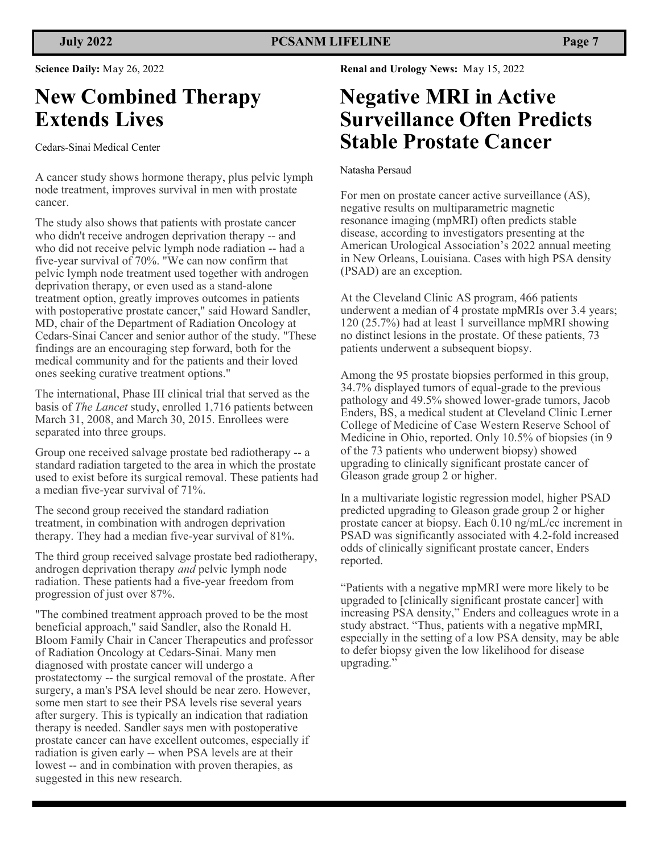**Science Daily:** May 26, 2022

# **New Combined Therapy Extends Lives**

Cedars-Sinai Medical Center

A cancer study shows hormone therapy, plus pelvic lymph node treatment, improves survival in men with prostate cancer.

The study also shows that patients with prostate cancer who didn't receive androgen deprivation therapy -- and who did not receive pelvic lymph node radiation -- had a five-year survival of 70%. "We can now confirm that pelvic lymph node treatment used together with androgen deprivation therapy, or even used as a stand-alone treatment option, greatly improves outcomes in patients with postoperative prostate cancer," said Howard Sandler, MD, chair of the Department of Radiation Oncology at Cedars-Sinai Cancer and senior author of the study. "These findings are an encouraging step forward, both for the medical community and for the patients and their loved ones seeking curative treatment options."

The international, Phase III clinical trial that served as the basis of *The Lancet* study, enrolled 1,716 patients between March 31, 2008, and March 30, 2015. Enrollees were separated into three groups.

Group one received salvage prostate bed radiotherapy -- a standard radiation targeted to the area in which the prostate used to exist before its surgical removal. These patients had a median five-year survival of 71%.

The second group received the standard radiation treatment, in combination with androgen deprivation therapy. They had a median five-year survival of 81%.

The third group received salvage prostate bed radiotherapy, androgen deprivation therapy *and* pelvic lymph node radiation. These patients had a five-year freedom from progression of just over 87%.

"The combined treatment approach proved to be the most beneficial approach," said Sandler, also the Ronald H. Bloom Family Chair in Cancer Therapeutics and professor of Radiation Oncology at Cedars-Sinai. Many men diagnosed with prostate cancer will undergo a prostatectomy -- the surgical removal of the prostate. After surgery, a man's PSA level should be near zero. However, some men start to see their PSA levels rise several years after surgery. This is typically an indication that radiation therapy is needed. Sandler says men with postoperative prostate cancer can have excellent outcomes, especially if radiation is given early -- when PSA levels are at their lowest -- and in combination with proven therapies, as suggested in this new research.

**Renal and Urology News:** May 15, 2022

## **Negative MRI in Active Surveillance Often Predicts Stable Prostate Cancer**

#### Natasha Persaud

For men on prostate cancer active surveillance (AS), negative results on multiparametric magnetic resonance imaging (mpMRI) often predicts stable disease, according to investigators presenting at the American Urological Association's 2022 annual meeting in New Orleans, Louisiana. Cases with high PSA density (PSAD) are an exception.

At the Cleveland Clinic AS program, 466 patients underwent a median of 4 prostate mpMRIs over 3.4 years; 120 (25.7%) had at least 1 surveillance mpMRI showing no distinct lesions in the prostate. Of these patients, 73 patients underwent a subsequent biopsy.

Among the 95 prostate biopsies performed in this group, 34.7% displayed tumors of equal-grade to the previous pathology and 49.5% showed lower-grade tumors, Jacob Enders, BS, a medical student at Cleveland Clinic Lerner College of Medicine of Case Western Reserve School of Medicine in Ohio, reported. Only 10.5% of biopsies (in 9 of the 73 patients who underwent biopsy) showed upgrading to clinically significant prostate cancer of Gleason grade group 2 or higher.

In a multivariate logistic regression model, higher PSAD predicted upgrading to Gleason grade group 2 or higher prostate cancer at biopsy. Each 0.10 ng/mL/cc increment in PSAD was significantly associated with 4.2-fold increased odds of clinically significant prostate cancer, Enders reported.

"Patients with a negative mpMRI were more likely to be upgraded to [clinically significant prostate cancer] with increasing PSA density," Enders and colleagues wrote in a study abstract. "Thus, patients with a negative mpMRI, especially in the setting of a low PSA density, may be able to defer biopsy given the low likelihood for disease upgrading."